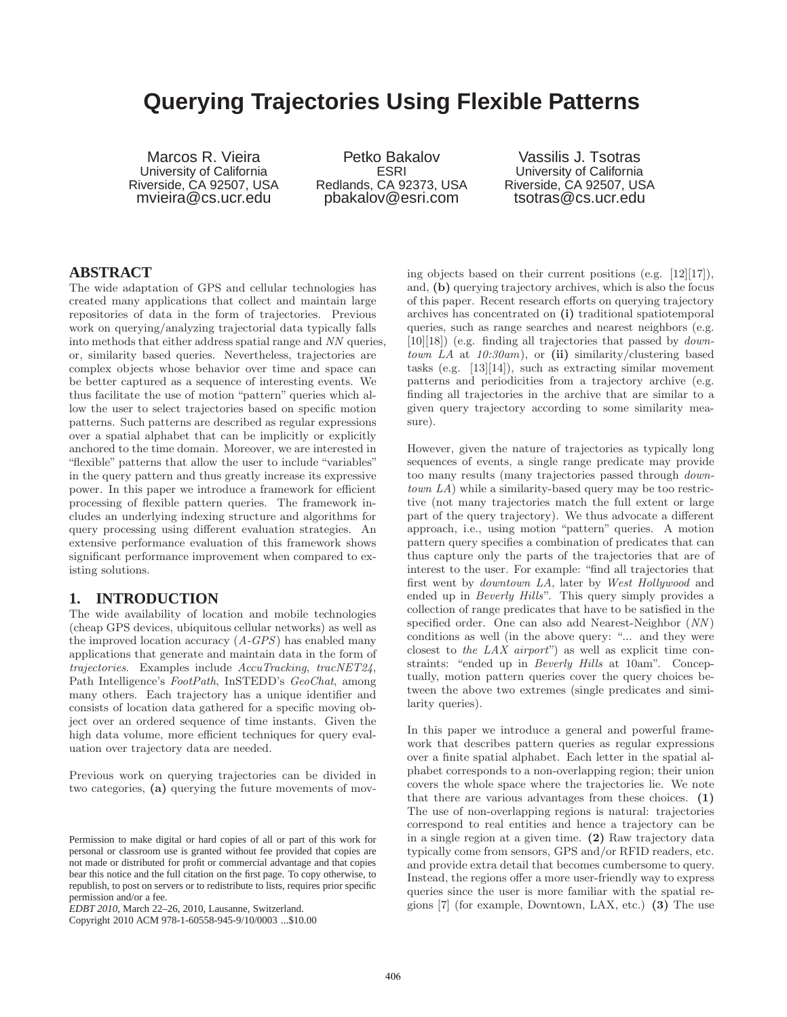# **Querying Trajectories Using Flexible Patterns**

Marcos R. Vieira University of California Riverside, CA 92507, USA mvieira@cs.ucr.edu

Petko Bakalov ESRI Redlands, CA 92373, USA pbakalov@esri.com

Vassilis J. Tsotras University of California Riverside, CA 92507, USA tsotras@cs.ucr.edu

## **ABSTRACT**

The wide adaptation of GPS and cellular technologies has created many applications that collect and maintain large repositories of data in the form of trajectories. Previous work on querying/analyzing trajectorial data typically falls into methods that either address spatial range and *NN* queries, or, similarity based queries. Nevertheless, trajectories are complex objects whose behavior over time and space can be better captured as a sequence of interesting events. We thus facilitate the use of motion "pattern" queries which allow the user to select trajectories based on specific motion patterns. Such patterns are described as regular expressions over a spatial alphabet that can be implicitly or explicitly anchored to the time domain. Moreover, we are interested in "flexible" patterns that allow the user to include "variables" in the query pattern and thus greatly increase its expressive power. In this paper we introduce a framework for efficient processing of flexible pattern queries. The framework includes an underlying indexing structure and algorithms for query processing using different evaluation strategies. An extensive performance evaluation of this framework shows significant performance improvement when compared to existing solutions.

#### **1. INTRODUCTION**

The wide availability of location and mobile technologies (cheap GPS devices, ubiquitous cellular networks) as well as the improved location accuracy (*A-GPS*) has enabled many applications that generate and maintain data in the form of *trajectories*. Examples include *AccuTracking*, *tracNET24*, Path Intelligence's *FootPath*, InSTEDD's *GeoChat*, among many others. Each trajectory has a unique identifier and consists of location data gathered for a specific moving object over an ordered sequence of time instants. Given the high data volume, more efficient techniques for query evaluation over trajectory data are needed.

Previous work on querying trajectories can be divided in two categories, (a) querying the future movements of mov-

Copyright 2010 ACM 978-1-60558-945-9/10/0003 ...\$10.00

ing objects based on their current positions (e.g. [12][17]), and, (b) querying trajectory archives, which is also the focus of this paper. Recent research efforts on querying trajectory archives has concentrated on (i) traditional spatiotemporal queries, such as range searches and nearest neighbors (e.g. [10][18]) (e.g. finding all trajectories that passed by *downtown LA* at *10:30am*), or (ii) similarity/clustering based tasks (e.g. [13][14]), such as extracting similar movement patterns and periodicities from a trajectory archive (e.g. finding all trajectories in the archive that are similar to a given query trajectory according to some similarity measure).

However, given the nature of trajectories as typically long sequences of events, a single range predicate may provide too many results (many trajectories passed through *downtown LA*) while a similarity-based query may be too restrictive (not many trajectories match the full extent or large part of the query trajectory). We thus advocate a different approach, i.e., using motion "pattern" queries. A motion pattern query specifies a combination of predicates that can thus capture only the parts of the trajectories that are of interest to the user. For example: "find all trajectories that first went by *downtown LA*, later by *West Hollywood* and ended up in *Beverly Hills*". This query simply provides a collection of range predicates that have to be satisfied in the specified order. One can also add Nearest-Neighbor (*NN* ) conditions as well (in the above query: "... and they were closest to *the LAX airport*") as well as explicit time constraints: "ended up in *Beverly Hills* at 10am". Conceptually, motion pattern queries cover the query choices between the above two extremes (single predicates and similarity queries).

In this paper we introduce a general and powerful framework that describes pattern queries as regular expressions over a finite spatial alphabet. Each letter in the spatial alphabet corresponds to a non-overlapping region; their union covers the whole space where the trajectories lie. We note that there are various advantages from these choices. (1) The use of non-overlapping regions is natural: trajectories correspond to real entities and hence a trajectory can be in a single region at a given time. (2) Raw trajectory data typically come from sensors, GPS and/or RFID readers, etc. and provide extra detail that becomes cumbersome to query. Instead, the regions offer a more user-friendly way to express queries since the user is more familiar with the spatial regions [7] (for example, Downtown, LAX, etc.) (3) The use

Permission to make digital or hard copies of all or part of this work for personal or classroom use is granted without fee provided that copies are not made or distributed for profit or commercial advantage and that copies bear this notice and the full citation on the first page. To copy otherwise, to republish, to post on servers or to redistribute to lists, requires prior specific permission and/or a fee.

*EDBT 2010*, March 22–26, 2010, Lausanne, Switzerland.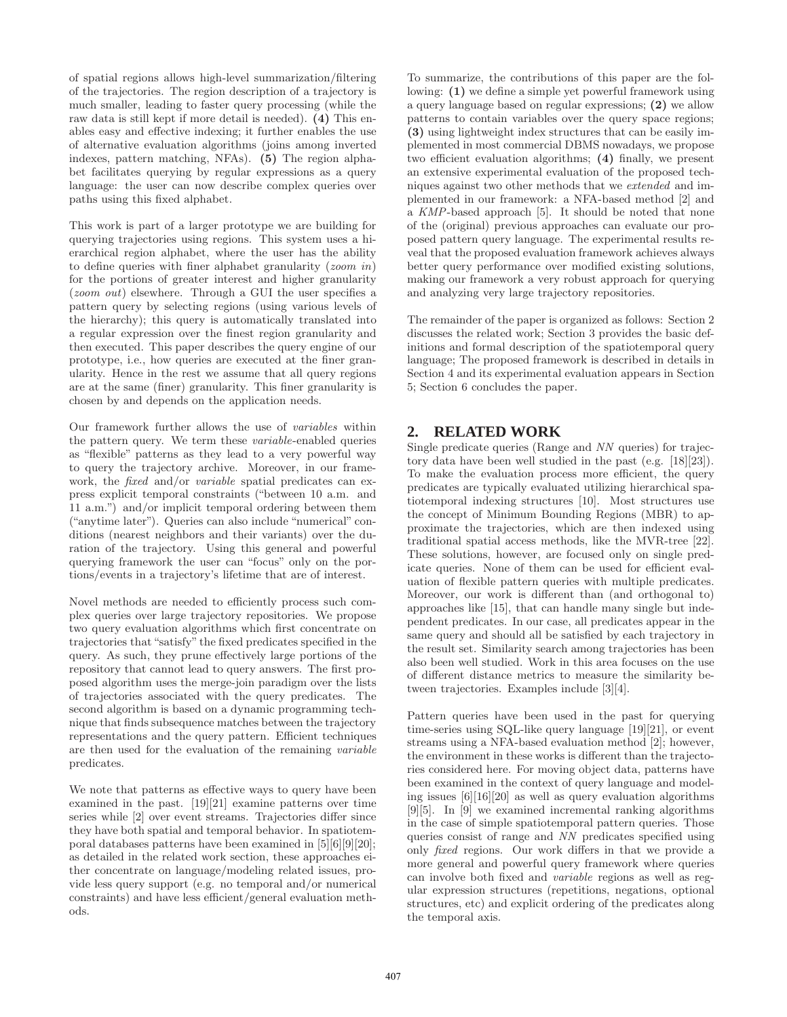of spatial regions allows high-level summarization/filtering of the trajectories. The region description of a trajectory is much smaller, leading to faster query processing (while the raw data is still kept if more detail is needed). (4) This enables easy and effective indexing; it further enables the use of alternative evaluation algorithms (joins among inverted indexes, pattern matching, NFAs). (5) The region alphabet facilitates querying by regular expressions as a query language: the user can now describe complex queries over paths using this fixed alphabet.

This work is part of a larger prototype we are building for querying trajectories using regions. This system uses a hierarchical region alphabet, where the user has the ability to define queries with finer alphabet granularity (*zoom in*) for the portions of greater interest and higher granularity (*zoom out*) elsewhere. Through a GUI the user specifies a pattern query by selecting regions (using various levels of the hierarchy); this query is automatically translated into a regular expression over the finest region granularity and then executed. This paper describes the query engine of our prototype, i.e., how queries are executed at the finer granularity. Hence in the rest we assume that all query regions are at the same (finer) granularity. This finer granularity is chosen by and depends on the application needs.

Our framework further allows the use of *variables* within the pattern query. We term these *variable*-enabled queries as "flexible" patterns as they lead to a very powerful way to query the trajectory archive. Moreover, in our framework, the *fixed* and/or *variable* spatial predicates can express explicit temporal constraints ("between 10 a.m. and 11 a.m.") and/or implicit temporal ordering between them ("anytime later"). Queries can also include "numerical" conditions (nearest neighbors and their variants) over the duration of the trajectory. Using this general and powerful querying framework the user can "focus" only on the portions/events in a trajectory's lifetime that are of interest.

Novel methods are needed to efficiently process such complex queries over large trajectory repositories. We propose two query evaluation algorithms which first concentrate on trajectories that "satisfy" the fixed predicates specified in the query. As such, they prune effectively large portions of the repository that cannot lead to query answers. The first proposed algorithm uses the merge-join paradigm over the lists of trajectories associated with the query predicates. The second algorithm is based on a dynamic programming technique that finds subsequence matches between the trajectory representations and the query pattern. Efficient techniques are then used for the evaluation of the remaining *variable* predicates.

We note that patterns as effective ways to query have been examined in the past. [19][21] examine patterns over time series while [2] over event streams. Trajectories differ since they have both spatial and temporal behavior. In spatiotemporal databases patterns have been examined in [5][6][9][20]; as detailed in the related work section, these approaches either concentrate on language/modeling related issues, provide less query support (e.g. no temporal and/or numerical constraints) and have less efficient/general evaluation methods.

To summarize, the contributions of this paper are the following: (1) we define a simple yet powerful framework using a query language based on regular expressions; (2) we allow patterns to contain variables over the query space regions; (3) using lightweight index structures that can be easily implemented in most commercial DBMS nowadays, we propose two efficient evaluation algorithms; (4) finally, we present an extensive experimental evaluation of the proposed techniques against two other methods that we *extended* and implemented in our framework: a NFA-based method [2] and a *KMP*-based approach [5]. It should be noted that none of the (original) previous approaches can evaluate our proposed pattern query language. The experimental results reveal that the proposed evaluation framework achieves always better query performance over modified existing solutions, making our framework a very robust approach for querying and analyzing very large trajectory repositories.

The remainder of the paper is organized as follows: Section 2 discusses the related work; Section 3 provides the basic definitions and formal description of the spatiotemporal query language; The proposed framework is described in details in Section 4 and its experimental evaluation appears in Section 5; Section 6 concludes the paper.

# **2. RELATED WORK**

Single predicate queries (Range and *NN* queries) for trajectory data have been well studied in the past (e.g. [18][23]). To make the evaluation process more efficient, the query predicates are typically evaluated utilizing hierarchical spatiotemporal indexing structures [10]. Most structures use the concept of Minimum Bounding Regions (MBR) to approximate the trajectories, which are then indexed using traditional spatial access methods, like the MVR-tree [22]. These solutions, however, are focused only on single predicate queries. None of them can be used for efficient evaluation of flexible pattern queries with multiple predicates. Moreover, our work is different than (and orthogonal to) approaches like [15], that can handle many single but independent predicates. In our case, all predicates appear in the same query and should all be satisfied by each trajectory in the result set. Similarity search among trajectories has been also been well studied. Work in this area focuses on the use of different distance metrics to measure the similarity between trajectories. Examples include [3][4].

Pattern queries have been used in the past for querying time-series using SQL-like query language [19][21], or event streams using a NFA-based evaluation method [2]; however, the environment in these works is different than the trajectories considered here. For moving object data, patterns have been examined in the context of query language and modeling issues [6][16][20] as well as query evaluation algorithms [9][5]. In [9] we examined incremental ranking algorithms in the case of simple spatiotemporal pattern queries. Those queries consist of range and *NN* predicates specified using only *fixed* regions. Our work differs in that we provide a more general and powerful query framework where queries can involve both fixed and *variable* regions as well as regular expression structures (repetitions, negations, optional structures, etc) and explicit ordering of the predicates along the temporal axis.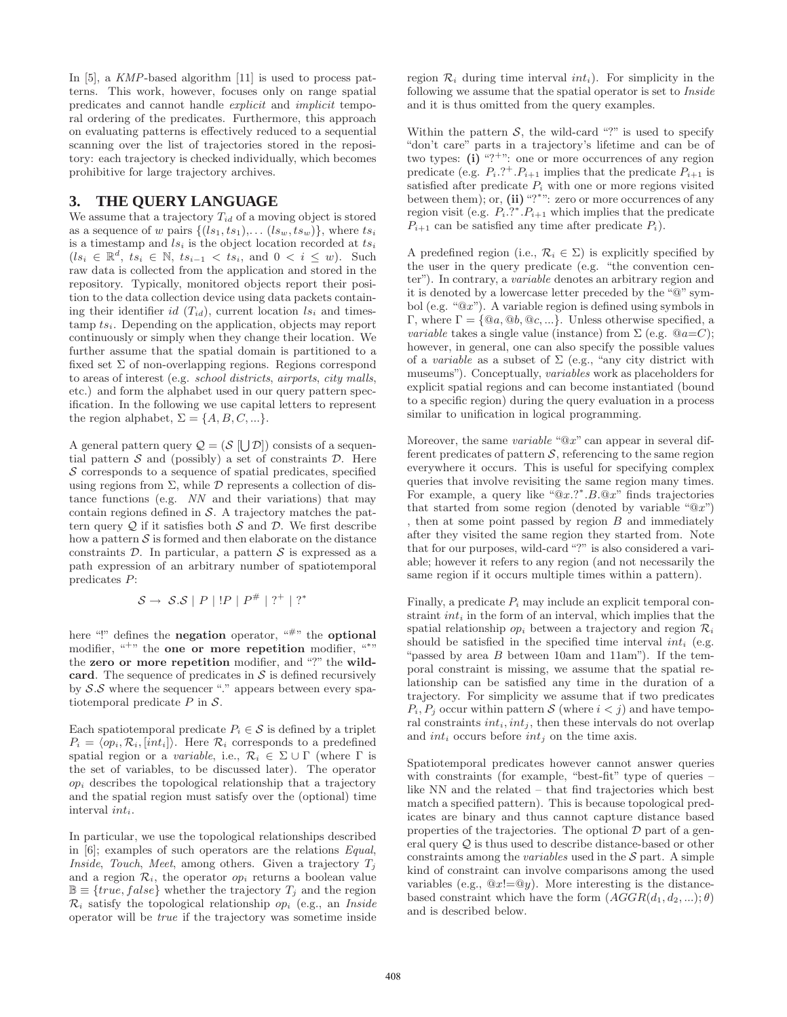In [5], a *KMP*-based algorithm [11] is used to process patterns. This work, however, focuses only on range spatial predicates and cannot handle *explicit* and *implicit* temporal ordering of the predicates. Furthermore, this approach on evaluating patterns is effectively reduced to a sequential scanning over the list of trajectories stored in the repository: each trajectory is checked individually, which becomes prohibitive for large trajectory archives.

## **3. THE QUERY LANGUAGE**

We assume that a trajectory  $T_{id}$  of a moving object is stored as a sequence of w pairs  $\{(ls_1, ts_1), \ldots (ls_w, ts_w)\}\$ , where  $ts_i$ is a timestamp and  $ls<sub>i</sub>$  is the object location recorded at  $ts<sub>i</sub>$  $(ls_i \in \mathbb{R}^d, \; ts_i \in \mathbb{N}, \; ts_{i-1} < ts_i, \; \text{and} \; 0 < i \leq w).$  Such raw data is collected from the application and stored in the repository. Typically, monitored objects report their position to the data collection device using data packets containing their identifier id  $(T_{id})$ , current location  $ls_i$  and times $tanh\ ts_i$ . Depending on the application, objects may report continuously or simply when they change their location. We further assume that the spatial domain is partitioned to a fixed set  $\Sigma$  of non-overlapping regions. Regions correspond to areas of interest (e.g. *school districts*, *airports*, *city malls*, etc.) and form the alphabet used in our query pattern specification. In the following we use capital letters to represent the region alphabet,  $\Sigma = \{A, B, C, ...\}$ .

A general pattern query  $\mathcal{Q} = (\mathcal{S} \cup \mathcal{D})$  consists of a sequential pattern  $S$  and (possibly) a set of constraints  $D$ . Here  $S$  corresponds to a sequence of spatial predicates, specified using regions from  $\Sigma$ , while  $\mathcal D$  represents a collection of distance functions (e.g. *NN* and their variations) that may contain regions defined in  $S$ . A trajectory matches the pattern query  $Q$  if it satisfies both  $S$  and  $D$ . We first describe how a pattern  $\mathcal S$  is formed and then elaborate on the distance constraints  $\mathcal{D}$ . In particular, a pattern  $\mathcal S$  is expressed as a path expression of an arbitrary number of spatiotemporal predicates P:

$$
\mathcal{S} \rightarrow \mathcal{S}.\mathcal{S} \mid P \mid !P \mid P^{\#} \mid ?^+ \mid ?^*
$$

here "!" defines the negation operator, "#" the optional modifier, "<sup>+</sup>" the one or more repetition modifier, "\*" the zero or more repetition modifier, and "?" the wildcard. The sequence of predicates in  $S$  is defined recursively by  $S.S$  where the sequencer "." appears between every spatiotemporal predicate  $P$  in  $\mathcal{S}$ .

Each spatiotemporal predicate  $P_i \in \mathcal{S}$  is defined by a triplet  $P_i = \langle op_i, \mathcal{R}_i, [int_i]\rangle$ . Here  $\mathcal{R}_i$  corresponds to a predefined spatial region or a *variable*, i.e.,  $\mathcal{R}_i \in \Sigma \cup \Gamma$  (where  $\Gamma$  is the set of variables, to be discussed later). The operator  $op_i$  describes the topological relationship that a trajectory and the spatial region must satisfy over the (optional) time interval  $int_i$ .

In particular, we use the topological relationships described in [6]; examples of such operators are the relations *Equal*, *Inside, Touch, Meet, among others.* Given a trajectory  $T_i$ and a region  $\mathcal{R}_i$ , the operator  $op_i$  returns a boolean value  $\mathbb{B} \equiv \{true, false\}$  whether the trajectory  $T_j$  and the region  $\mathcal{R}_i$  satisfy the topological relationship  $op_i$  (e.g., an *Inside* operator will be *true* if the trajectory was sometime inside

region  $\mathcal{R}_i$  during time interval *int<sub>i</sub>*). For simplicity in the following we assume that the spatial operator is set to *Inside* and it is thus omitted from the query examples.

Within the pattern  $S$ , the wild-card "?" is used to specify "don't care" parts in a trajectory's lifetime and can be of two types: (i) "?<sup>+</sup>": one or more occurrences of any region predicate (e.g.  $P_i$ .?<sup>+</sup>. $P_{i+1}$  implies that the predicate  $P_{i+1}$  is satisfied after predicate  $P_i$  with one or more regions visited between them); or, (ii) "?\*": zero or more occurrences of any region visit (e.g.  $P_i$ .?\*. $P_{i+1}$  which implies that the predicate  $P_{i+1}$  can be satisfied any time after predicate  $P_i$ ).

A predefined region (i.e.,  $\mathcal{R}_i \in \Sigma$ ) is explicitly specified by the user in the query predicate (e.g. "the convention center"). In contrary, a *variable* denotes an arbitrary region and it is denoted by a lowercase letter preceded by the "@" symbol (e.g. "@x"). A variable region is defined using symbols in Γ, where  $\Gamma = \{@a, @b, @c, ...\}$ . Unless otherwise specified, a *variable* takes a single value (instance) from  $\Sigma$  (e.g.  $@a=C$ ); however, in general, one can also specify the possible values of a *variable* as a subset of Σ (e.g., "any city district with museums"). Conceptually, *variables* work as placeholders for explicit spatial regions and can become instantiated (bound to a specific region) during the query evaluation in a process similar to unification in logical programming.

Moreover, the same *variable* " $@x"$  can appear in several different predicates of pattern  $S$ , referencing to the same region everywhere it occurs. This is useful for specifying complex queries that involve revisiting the same region many times. For example, a query like " $@x.^$ ".  $B.@x$ " finds trajectories that started from some region (denoted by variable " $\mathcal{Q}x$ ") , then at some point passed by region B and immediately after they visited the same region they started from. Note that for our purposes, wild-card "?" is also considered a variable; however it refers to any region (and not necessarily the same region if it occurs multiple times within a pattern).

Finally, a predicate  $P_i$  may include an explicit temporal constraint  $int_i$  in the form of an interval, which implies that the spatial relationship  $op_i$  between a trajectory and region  $\mathcal{R}_i$ should be satisfied in the specified time interval  $int_i$  (e.g. "passed by area B between 10am and 11am"). If the temporal constraint is missing, we assume that the spatial relationship can be satisfied any time in the duration of a trajectory. For simplicity we assume that if two predicates  $P_i, P_j$  occur within pattern S (where  $i < j$ ) and have temporal constraints  $int_i, int_j$ , then these intervals do not overlap and  $int_i$  occurs before  $int_i$  on the time axis.

Spatiotemporal predicates however cannot answer queries with constraints (for example, "best-fit" type of queries – like NN and the related – that find trajectories which best match a specified pattern). This is because topological predicates are binary and thus cannot capture distance based properties of the trajectories. The optional  $\mathcal D$  part of a general query Q is thus used to describe distance-based or other constraints among the *variables* used in the S part. A simple kind of constraint can involve comparisons among the used variables (e.g.,  $@x!=@y$ ). More interesting is the distancebased constraint which have the form  $(AGGR(d_1, d_2, \ldots); \theta)$ and is described below.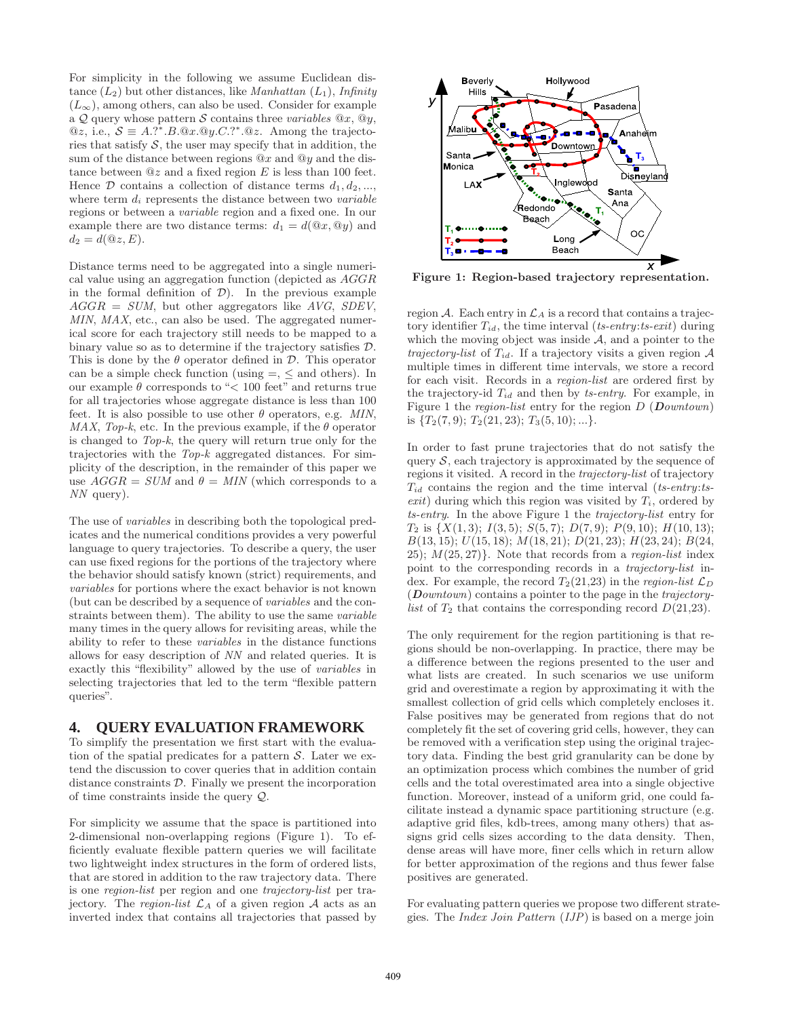For simplicity in the following we assume Euclidean distance  $(L_2)$  but other distances, like *Manhattan*  $(L_1)$ , *Infinity*  $(L_{\infty})$ , among others, can also be used. Consider for example a  $Q$  query whose pattern S contains three *variables*  $@x$ ,  $@y$ ,  $\alpha z$ , i.e.,  $S \equiv A.?^* . B. \mathbb{Q}x. \mathbb{Q}y. C. ?^* . \mathbb{Q}z$ . Among the trajectories that satisfy  $S$ , the user may specify that in addition, the sum of the distance between regions  $@x$  and  $@y$  and the distance between  $@z$  and a fixed region  $E$  is less than 100 feet. Hence  $\mathcal D$  contains a collection of distance terms  $d_1, d_2, \ldots$ , where term  $d_i$  represents the distance between two *variable* regions or between a *variable* region and a fixed one. In our example there are two distance terms:  $d_1 = d(\mathbb{Q}x, \mathbb{Q}y)$  and  $d_2 = d(\mathbb{Q}z, E).$ 

Distance terms need to be aggregated into a single numerical value using an aggregation function (depicted as AGGR in the formal definition of  $D$ ). In the previous example AGGR = *SUM*, but other aggregators like *AVG*, *SDEV*, *MIN*, *MAX*, etc., can also be used. The aggregated numerical score for each trajectory still needs to be mapped to a binary value so as to determine if the trajectory satisfies D. This is done by the  $\theta$  operator defined in  $\mathcal{D}$ . This operator can be a simple check function (using  $=$ ,  $\leq$  and others). In our example  $\theta$  corresponds to "< 100 feet" and returns true for all trajectories whose aggregate distance is less than 100 feet. It is also possible to use other  $\theta$  operators, e.g. *MIN*, *MAX*, *Top-k*, etc. In the previous example, if the  $\theta$  operator is changed to *Top-k*, the query will return true only for the trajectories with the *Top-k* aggregated distances. For simplicity of the description, in the remainder of this paper we use  $AGGR = SUM$  and  $\theta = MIN$  (which corresponds to a *NN* query).

The use of *variables* in describing both the topological predicates and the numerical conditions provides a very powerful language to query trajectories. To describe a query, the user can use fixed regions for the portions of the trajectory where the behavior should satisfy known (strict) requirements, and *variables* for portions where the exact behavior is not known (but can be described by a sequence of *variables* and the constraints between them). The ability to use the same *variable* many times in the query allows for revisiting areas, while the ability to refer to these *variables* in the distance functions allows for easy description of *NN* and related queries. It is exactly this "flexibility" allowed by the use of *variables* in selecting trajectories that led to the term "flexible pattern queries".

### **4. QUERY EVALUATION FRAMEWORK**

To simplify the presentation we first start with the evaluation of the spatial predicates for a pattern  $S$ . Later we extend the discussion to cover queries that in addition contain distance constraints D. Finally we present the incorporation of time constraints inside the query Q.

For simplicity we assume that the space is partitioned into 2-dimensional non-overlapping regions (Figure 1). To efficiently evaluate flexible pattern queries we will facilitate two lightweight index structures in the form of ordered lists, that are stored in addition to the raw trajectory data. There is one *region-list* per region and one *trajectory-list* per trajectory. The *region-list*  $\mathcal{L}_A$  of a given region  $\mathcal A$  acts as an inverted index that contains all trajectories that passed by



Figure 1: Region-based trajectory representation.

region A. Each entry in  $\mathcal{L}_A$  is a record that contains a trajectory identifier Tid, the time interval (*ts-entry*:*ts-exit*) during which the moving object was inside  $A$ , and a pointer to the *trajectory-list* of  $T_{id}$ . If a trajectory visits a given region  $A$ multiple times in different time intervals, we store a record for each visit. Records in a *region-list* are ordered first by the trajectory-id  $T_{id}$  and then by *ts-entry*. For example, in Figure 1 the *region-list* entry for the region D (D*owntown*) is  ${T_2(7, 9); T_2(21, 23); T_3(5, 10); \dots}.$ 

In order to fast prune trajectories that do not satisfy the query  $S$ , each trajectory is approximated by the sequence of regions it visited. A record in the *trajectory-list* of trajectory Tid contains the region and the time interval (*ts-entry*:*ts* $exit)$  during which this region was visited by  $T_i$ , ordered by *ts-entry*. In the above Figure 1 the *trajectory-list* entry for  $T_2$  is  $\{X(1,3); I(3,5); S(5,7); D(7,9); P(9,10); H(10,13);$  $B(13, 15); U(15, 18); M(18, 21); D(21, 23); H(23, 24); B(24,$ 25); M(25, 27)}. Note that records from a *region-list* index point to the corresponding records in a *trajectory-list* index. For example, the record  $T_2(21,23)$  in the *region-list*  $\mathcal{L}_D$ (D*owntown*) contains a pointer to the page in the *trajectorylist* of  $T_2$  that contains the corresponding record  $D(21,23)$ .

The only requirement for the region partitioning is that regions should be non-overlapping. In practice, there may be a difference between the regions presented to the user and what lists are created. In such scenarios we use uniform grid and overestimate a region by approximating it with the smallest collection of grid cells which completely encloses it. False positives may be generated from regions that do not completely fit the set of covering grid cells, however, they can be removed with a verification step using the original trajectory data. Finding the best grid granularity can be done by an optimization process which combines the number of grid cells and the total overestimated area into a single objective function. Moreover, instead of a uniform grid, one could facilitate instead a dynamic space partitioning structure (e.g. adaptive grid files, kdb-trees, among many others) that assigns grid cells sizes according to the data density. Then, dense areas will have more, finer cells which in return allow for better approximation of the regions and thus fewer false positives are generated.

For evaluating pattern queries we propose two different strategies. The *Index Join Pattern* (*IJP*) is based on a merge join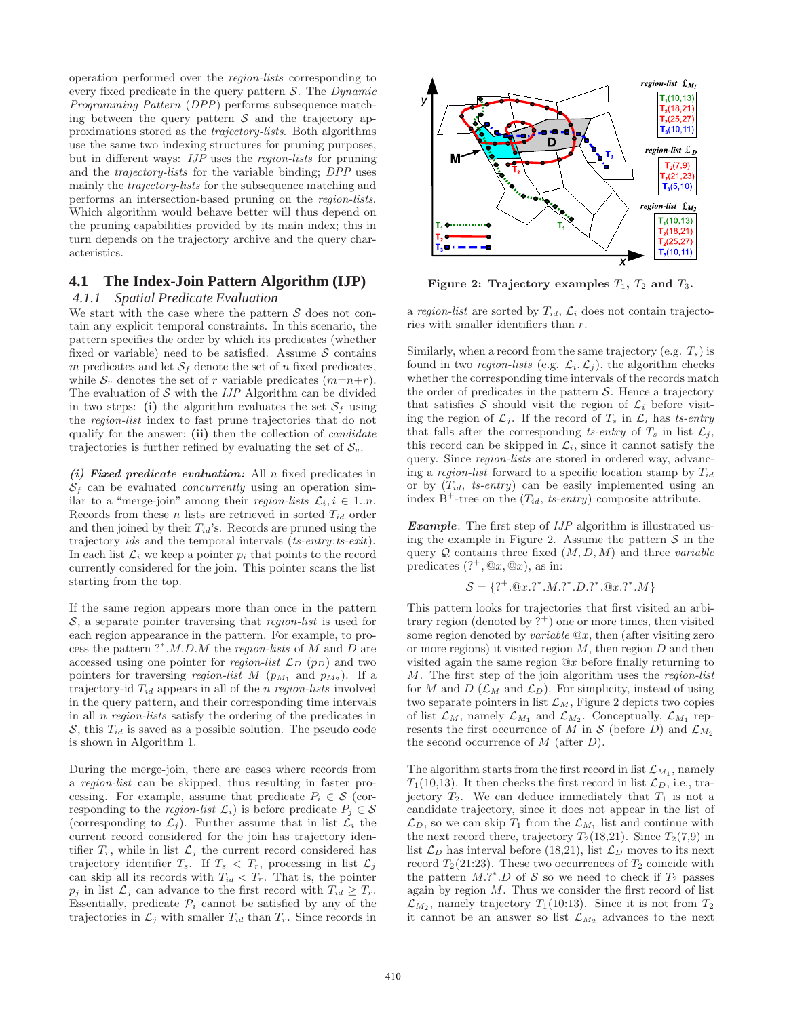operation performed over the *region-lists* corresponding to every fixed predicate in the query pattern S. The *Dynamic Programming Pattern* (*DPP*) performs subsequence matching between the query pattern  $S$  and the trajectory approximations stored as the *trajectory-lists*. Both algorithms use the same two indexing structures for pruning purposes, but in different ways: *IJP* uses the *region-lists* for pruning and the *trajectory-lists* for the variable binding; *DPP* uses mainly the *trajectory-lists* for the subsequence matching and performs an intersection-based pruning on the *region-lists*. Which algorithm would behave better will thus depend on the pruning capabilities provided by its main index; this in turn depends on the trajectory archive and the query characteristics.

# **4.1 The Index-Join Pattern Algorithm (IJP)**

#### *4.1.1 Spatial Predicate Evaluation*

We start with the case where the pattern  $S$  does not contain any explicit temporal constraints. In this scenario, the pattern specifies the order by which its predicates (whether fixed or variable) need to be satisfied. Assume  $S$  contains m predicates and let  $S_f$  denote the set of n fixed predicates, while  $S_v$  denotes the set of r variable predicates  $(m=n+r)$ . The evaluation of S with the *IJP* Algorithm can be divided in two steps: (i) the algorithm evaluates the set  $S_f$  using the *region-list* index to fast prune trajectories that do not qualify for the answer; (ii) then the collection of *candidate* trajectories is further refined by evaluating the set of  $S_v$ .

(i) Fixed predicate evaluation: All  $n$  fixed predicates in  $S_f$  can be evaluated *concurrently* using an operation similar to a "merge-join" among their *region-lists*  $\mathcal{L}_i, i \in 1..n$ . Records from these n lists are retrieved in sorted  $T_{id}$  order and then joined by their  $T_{id}$ 's. Records are pruned using the trajectory *ids* and the temporal intervals (*ts-entry*:*ts-exit*). In each list  $\mathcal{L}_i$  we keep a pointer  $p_i$  that points to the record currently considered for the join. This pointer scans the list starting from the top.

If the same region appears more than once in the pattern S, a separate pointer traversing that *region-list* is used for each region appearance in the pattern. For example, to process the pattern ?<sup>∗</sup> .M.D.M the *region-lists* of M and D are accessed using one pointer for *region-list*  $\mathcal{L}_D$  ( $p_D$ ) and two pointers for traversing *region-list*  $M$  ( $p_{M_1}$  and  $p_{M_2}$ ). If a trajectory-id Tid appears in all of the n *region-lists* involved in the query pattern, and their corresponding time intervals in all n *region-lists* satisfy the ordering of the predicates in  $S$ , this  $T_{id}$  is saved as a possible solution. The pseudo code is shown in Algorithm 1.

During the merge-join, there are cases where records from a *region-list* can be skipped, thus resulting in faster processing. For example, assume that predicate  $P_i \in \mathcal{S}$  (corresponding to the *region-list*  $\mathcal{L}_i$ ) is before predicate  $P_i \in \mathcal{S}$ (corresponding to  $\mathcal{L}_i$ ). Further assume that in list  $\mathcal{L}_i$  the current record considered for the join has trajectory identifier  $T_r$ , while in list  $\mathcal{L}_j$  the current record considered has trajectory identifier  $T_s$ . If  $T_s < T_r$ , processing in list  $\mathcal{L}_j$ can skip all its records with  $T_{id} < T_r$ . That is, the pointer  $p_j$  in list  $\mathcal{L}_j$  can advance to the first record with  $T_{id} \geq T_r$ . Essentially, predicate  $\mathcal{P}_i$  cannot be satisfied by any of the trajectories in  $\mathcal{L}_j$  with smaller  $T_{id}$  than  $T_r$ . Since records in



Figure 2: Trajectory examples  $T_1$ ,  $T_2$  and  $T_3$ .

a *region-list* are sorted by  $T_{id}$ ,  $\mathcal{L}_i$  does not contain trajectories with smaller identifiers than r.

Similarly, when a record from the same trajectory (e.g.  $T_s$ ) is found in two *region-lists* (e.g.  $\mathcal{L}_i, \mathcal{L}_j$ ), the algorithm checks whether the corresponding time intervals of the records match the order of predicates in the pattern  $S$ . Hence a trajectory that satisfies S should visit the region of  $\mathcal{L}_i$  before visiting the region of  $\mathcal{L}_j$ . If the record of  $T_s$  in  $\mathcal{L}_i$  has *ts-entry* that falls after the corresponding *ts-entry* of  $T_s$  in list  $\mathcal{L}_j$ , this record can be skipped in  $\mathcal{L}_i$ , since it cannot satisfy the query. Since *region-lists* are stored in ordered way, advancing a *region-list* forward to a specific location stamp by  $T_{id}$ or by (Tid, *ts-entry*) can be easily implemented using an index  $B^+$ -tree on the  $(T_{id}, t_s$ -entry) composite attribute.

Example: The first step of *IJP* algorithm is illustrated using the example in Figure 2. Assume the pattern  $S$  in the query Q contains three fixed (M, D, M) and three *variable* predicates  $(?^+, \mathbb{Q}x, \mathbb{Q}x)$ , as in:

$$
S = \{?^{+}.@x.^{?}.M.^{*}.D.^{*}.\@x.^{?}.M\}
$$

This pattern looks for trajectories that first visited an arbitrary region (denoted by  $?^+$ ) one or more times, then visited some region denoted by *variable*  $@x$ , then (after visiting zero or more regions) it visited region  $M$ , then region  $D$  and then visited again the same region  $@x$  before finally returning to M. The first step of the join algorithm uses the *region-list* for M and D  $(\mathcal{L}_M$  and  $\mathcal{L}_D)$ . For simplicity, instead of using two separate pointers in list  $\mathcal{L}_M$ , Figure 2 depicts two copies of list  $\mathcal{L}_M$ , namely  $\mathcal{L}_{M_1}$  and  $\mathcal{L}_{M_2}$ . Conceptually,  $\mathcal{L}_{M_1}$  represents the first occurrence of M in S (before D) and  $\mathcal{L}_{M_2}$ the second occurrence of  $M$  (after  $D$ ).

The algorithm starts from the first record in list  $\mathcal{L}_{M_1}$ , namely  $T_1(10,13)$ . It then checks the first record in list  $\mathcal{L}_D$ , i.e., trajectory  $T_2$ . We can deduce immediately that  $T_1$  is not a candidate trajectory, since it does not appear in the list of  $\mathcal{L}_D$ , so we can skip  $T_1$  from the  $\mathcal{L}_{M_1}$  list and continue with the next record there, trajectory  $T_2(18,21)$ . Since  $T_2(7,9)$  in list  $\mathcal{L}_D$  has interval before (18,21), list  $\mathcal{L}_D$  moves to its next record  $T_2(21:23)$ . These two occurrences of  $T_2$  coincide with the pattern  $M$ .?\*. D of S so we need to check if  $T_2$  passes again by region  $M$ . Thus we consider the first record of list  $\mathcal{L}_{M_2}$ , namely trajectory  $T_1(10:13)$ . Since it is not from  $T_2$ it cannot be an answer so list  $\mathcal{L}_{M_2}$  advances to the next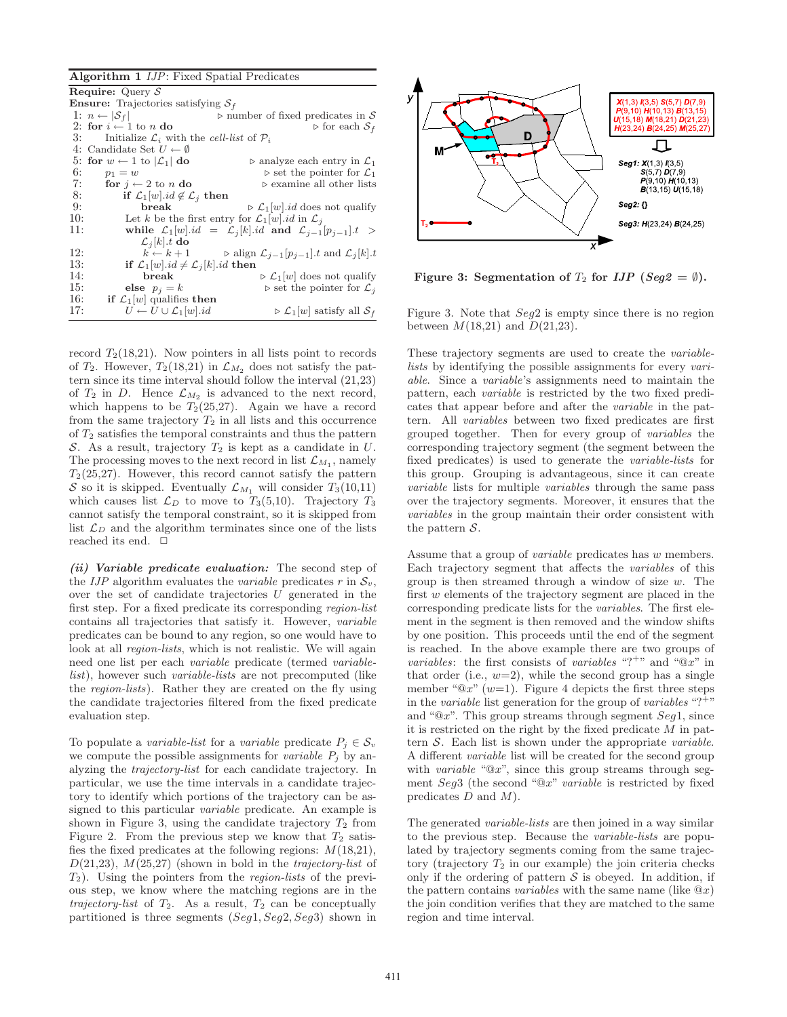#### Algorithm 1 *IJP*: Fixed Spatial Predicates

| <b>Require:</b> Query $S$                       |                                                                  |                                                                                                   |
|-------------------------------------------------|------------------------------------------------------------------|---------------------------------------------------------------------------------------------------|
|                                                 | <b>Ensure:</b> Trajectories satisfying $S_f$                     |                                                                                                   |
| 1: $n \leftarrow  \mathcal{S}_f $               |                                                                  | $\triangleright$ number of fixed predicates in S                                                  |
| 2: for $i \leftarrow 1$ to n do                 |                                                                  | $\triangleright$ for each $S_f$                                                                   |
| 3:                                              | Initialize $\mathcal{L}_i$ with the cell-list of $\mathcal{P}_i$ |                                                                                                   |
| 4: Candidate Set $U \leftarrow \emptyset$       |                                                                  |                                                                                                   |
| 5: for $w \leftarrow 1$ to $ \mathcal{L}_1 $ do |                                                                  | $\triangleright$ analyze each entry in $\mathcal{L}_1$                                            |
| 6:<br>$p_1=w$                                   |                                                                  | $\triangleright$ set the pointer for $\mathcal{L}_1$                                              |
| 7:                                              | for $j \leftarrow 2$ to n do                                     | $\triangleright$ examine all other lists                                                          |
| 8:                                              | if $\mathcal{L}_1[w].id \notin \mathcal{L}_j$ then               |                                                                                                   |
| 9:                                              | break                                                            | $\triangleright$ $\mathcal{L}_1[w].id$ does not qualify                                           |
| 10:                                             |                                                                  | Let k be the first entry for $\mathcal{L}_1[w].id$ in $\mathcal{L}_i$                             |
| 11:                                             |                                                                  | while $\mathcal{L}_1[w].id = \mathcal{L}_i[k].id$ and $\mathcal{L}_{i-1}[p_{i-1}].t >$            |
|                                                 | $\mathcal{L}_i[k].t$ do                                          |                                                                                                   |
| 12:                                             |                                                                  | $k \leftarrow k+1$ $\triangleright$ align $\mathcal{L}_{i-1}[p_{i-1}].t$ and $\mathcal{L}_i[k].t$ |
| 13:                                             | if $\mathcal{L}_1[w].id \neq \mathcal{L}_i[k].id$ then           |                                                                                                   |
| 14:                                             | break                                                            | $\triangleright$ $\mathcal{L}_1[w]$ does not qualify                                              |
| 15:                                             | else $p_i = k$                                                   | $\triangleright$ set the pointer for $\mathcal{L}_i$                                              |
| 16:                                             | if $\mathcal{L}_1[w]$ qualifies then                             |                                                                                                   |
| 17:                                             | $U \leftarrow U \cup \mathcal{L}_1[w].id$                        | $\triangleright$ $\mathcal{L}_1[w]$ satisfy all $\mathcal{S}_f$                                   |
|                                                 |                                                                  |                                                                                                   |

record  $T_2(18,21)$ . Now pointers in all lists point to records of  $T_2$ . However,  $T_2(18,21)$  in  $\mathcal{L}_{M_2}$  does not satisfy the pattern since its time interval should follow the interval (21,23) of  $T_2$  in D. Hence  $\mathcal{L}_{M_2}$  is advanced to the next record, which happens to be  $T_2(25,27)$ . Again we have a record from the same trajectory  $T_2$  in all lists and this occurrence of  $T_2$  satisfies the temporal constraints and thus the pattern S. As a result, trajectory  $T_2$  is kept as a candidate in U. The processing moves to the next record in list  $\mathcal{L}_{M_1}$ , namely  $T_2(25,27)$ . However, this record cannot satisfy the pattern S so it is skipped. Eventually  $\mathcal{L}_{M_1}$  will consider  $T_3(10,11)$ which causes list  $\mathcal{L}_D$  to move to  $T_3(5,10)$ . Trajectory  $T_3$ cannot satisfy the temporal constraint, so it is skipped from list  $\mathcal{L}_D$  and the algorithm terminates since one of the lists reached its end.  $\Box$ 

(ii) Variable predicate evaluation: The second step of the *IJP* algorithm evaluates the *variable* predicates r in  $S_v$ , over the set of candidate trajectories U generated in the first step. For a fixed predicate its corresponding *region-list* contains all trajectories that satisfy it. However, *variable* predicates can be bound to any region, so one would have to look at all *region-lists*, which is not realistic. We will again need one list per each *variable* predicate (termed *variablelist*), however such *variable-lists* are not precomputed (like the *region-lists*). Rather they are created on the fly using the candidate trajectories filtered from the fixed predicate evaluation step.

To populate a *variable-list* for a *variable* predicate  $P_i \in \mathcal{S}_v$ we compute the possible assignments for *variable*  $P_i$  by analyzing the *trajectory-list* for each candidate trajectory. In particular, we use the time intervals in a candidate trajectory to identify which portions of the trajectory can be assigned to this particular *variable* predicate. An example is shown in Figure 3, using the candidate trajectory  $T_2$  from Figure 2. From the previous step we know that  $T_2$  satisfies the fixed predicates at the following regions:  $M(18,21)$ , D(21,23), M(25,27) (shown in bold in the *trajectory-list* of T2). Using the pointers from the *region-lists* of the previous step, we know where the matching regions are in the  $trajectory-list$  of  $T_2$ . As a result,  $T_2$  can be conceptually partitioned is three segments (Seg1, Seg2, Seg3) shown in



Figure 3: Segmentation of  $T_2$  for IJP (Seg2 =  $\emptyset$ ).

Figure 3. Note that Seg2 is empty since there is no region between  $M(18,21)$  and  $D(21,23)$ .

These trajectory segments are used to create the *variablelists* by identifying the possible assignments for every *variable*. Since a *variable*'s assignments need to maintain the pattern, each *variable* is restricted by the two fixed predicates that appear before and after the *variable* in the pattern. All *variables* between two fixed predicates are first grouped together. Then for every group of *variables* the corresponding trajectory segment (the segment between the fixed predicates) is used to generate the *variable-lists* for this group. Grouping is advantageous, since it can create *variable* lists for multiple *variables* through the same pass over the trajectory segments. Moreover, it ensures that the *variables* in the group maintain their order consistent with the pattern  $S$ .

Assume that a group of *variable* predicates has w members. Each trajectory segment that affects the *variables* of this group is then streamed through a window of size  $w$ . The first w elements of the trajectory segment are placed in the corresponding predicate lists for the *variables*. The first element in the segment is then removed and the window shifts by one position. This proceeds until the end of the segment is reached. In the above example there are two groups of *variables*: the first consists of *variables* "?<sup>+</sup>" and " $@x$ " in that order (i.e.,  $w=2$ ), while the second group has a single member " $\mathbb{Q}x$ " (w=1). Figure 4 depicts the first three steps in the *variable* list generation for the group of *variables* "?<sup>+"</sup> and " $\mathbb{Q}x$ ". This group streams through segment  $Seq1$ , since it is restricted on the right by the fixed predicate  $M$  in pattern S. Each list is shown under the appropriate *variable*. A different *variable* list will be created for the second group with *variable* " $\mathbb{Q}x$ ", since this group streams through segment Seg3 (the second "@x" *variable* is restricted by fixed predicates D and M).

The generated *variable-lists* are then joined in a way similar to the previous step. Because the *variable-lists* are populated by trajectory segments coming from the same trajectory (trajectory  $T_2$  in our example) the join criteria checks only if the ordering of pattern  $S$  is obeyed. In addition, if the pattern contains *variables* with the same name (like  $@x$ ) the join condition verifies that they are matched to the same region and time interval.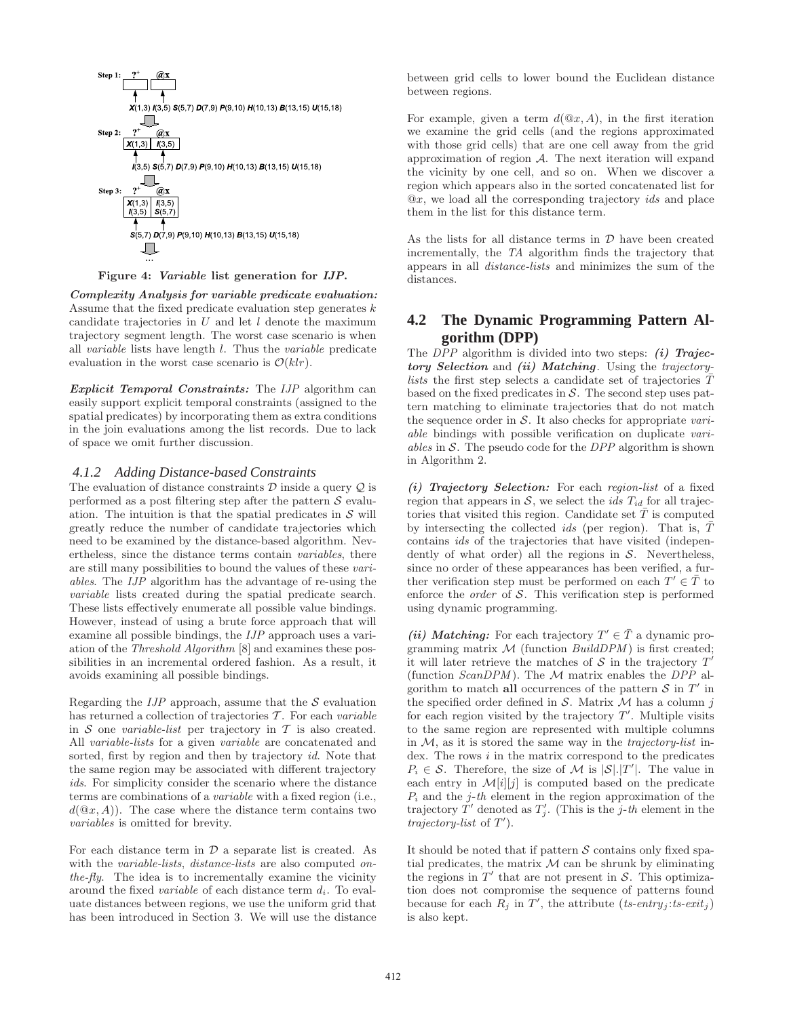

Figure 4: Variable list generation for IJP.

Complexity Analysis for variable predicate evaluation: Assume that the fixed predicate evaluation step generates  $k$ candidate trajectories in  $U$  and let  $l$  denote the maximum trajectory segment length. The worst case scenario is when all *variable* lists have length l. Thus the *variable* predicate evaluation in the worst case scenario is  $\mathcal{O}(klr)$ .

Explicit Temporal Constraints: The *IJP* algorithm can easily support explicit temporal constraints (assigned to the spatial predicates) by incorporating them as extra conditions in the join evaluations among the list records. Due to lack of space we omit further discussion.

#### *4.1.2 Adding Distance-based Constraints*

The evaluation of distance constraints  $\mathcal D$  inside a query  $\mathcal Q$  is performed as a post filtering step after the pattern  $S$  evaluation. The intuition is that the spatial predicates in  $S$  will greatly reduce the number of candidate trajectories which need to be examined by the distance-based algorithm. Nevertheless, since the distance terms contain *variables*, there are still many possibilities to bound the values of these *variables*. The *IJP* algorithm has the advantage of re-using the *variable* lists created during the spatial predicate search. These lists effectively enumerate all possible value bindings. However, instead of using a brute force approach that will examine all possible bindings, the *IJP* approach uses a variation of the *Threshold Algorithm* [8] and examines these possibilities in an incremental ordered fashion. As a result, it avoids examining all possible bindings.

Regarding the  $IJP$  approach, assume that the  $S$  evaluation has returned a collection of trajectories T. For each *variable* in  $S$  one *variable-list* per trajectory in  $T$  is also created. All *variable-lists* for a given *variable* are concatenated and sorted, first by region and then by trajectory *id*. Note that the same region may be associated with different trajectory *ids*. For simplicity consider the scenario where the distance terms are combinations of a *variable* with a fixed region (i.e.,  $d(\mathbb{Q}x, A)$ . The case where the distance term contains two *variables* is omitted for brevity.

For each distance term in  $D$  a separate list is created. As with the *variable-lists*, *distance-lists* are also computed *onthe-fly*. The idea is to incrementally examine the vicinity around the fixed *variable* of each distance term  $d_i$ . To evaluate distances between regions, we use the uniform grid that has been introduced in Section 3. We will use the distance between grid cells to lower bound the Euclidean distance between regions.

For example, given a term  $d(\mathbb{Q}x, A)$ , in the first iteration we examine the grid cells (and the regions approximated with those grid cells) that are one cell away from the grid approximation of region  $A$ . The next iteration will expand the vicinity by one cell, and so on. When we discover a region which appears also in the sorted concatenated list for @x, we load all the corresponding trajectory *ids* and place them in the list for this distance term.

As the lists for all distance terms in  $D$  have been created incrementally, the *TA* algorithm finds the trajectory that appears in all *distance-lists* and minimizes the sum of the distances.

# **4.2 The Dynamic Programming Pattern Algorithm (DPP)**

The *DPP* algorithm is divided into two steps: *(i)* Trajectory Selection and (ii) Matching. Using the *trajectorylists* the first step selects a candidate set of trajectories  $\overline{T}$ based on the fixed predicates in  $S$ . The second step uses pattern matching to eliminate trajectories that do not match the sequence order in S. It also checks for appropriate *variable* bindings with possible verification on duplicate *variables* in S. The pseudo code for the *DPP* algorithm is shown in Algorithm 2.

(i) Trajectory Selection: For each *region-list* of a fixed region that appears in  $S$ , we select the *ids*  $T_{id}$  for all trajectories that visited this region. Candidate set  $\overline{T}$  is computed by intersecting the collected *ids* (per region). That is,  $\overline{T}$ contains *ids* of the trajectories that have visited (independently of what order) all the regions in  $S$ . Nevertheless, since no order of these appearances has been verified, a further verification step must be performed on each  $T' \in \overline{T}$  to enforce the *order* of S. This verification step is performed using dynamic programming.

(ii) Matching: For each trajectory  $T' \in \overline{T}$  a dynamic programming matrix M (function *BuildDPM* ) is first created; it will later retrieve the matches of S in the trajectory  $T'$ (function *ScanDPM* ). The M matrix enables the *DPP* algorithm to match all occurrences of the pattern  $S$  in  $T'$  in the specified order defined in  $S$ . Matrix  $M$  has a column j for each region visited by the trajectory  $T'$ . Multiple visits to the same region are represented with multiple columns in M, as it is stored the same way in the *trajectory-list* index. The rows  $i$  in the matrix correspond to the predicates  $P_i \in \mathcal{S}$ . Therefore, the size of M is  $|\mathcal{S}|$ . |T'|. The value in each entry in  $\mathcal{M}[i][j]$  is computed based on the predicate  $P_i$  and the *j*-*th* element in the region approximation of the trajectory  $\overline{T}'$  denoted as  $T'_j$ . (This is the j-th element in the trajectory-list of T').

It should be noted that if pattern  $S$  contains only fixed spatial predicates, the matrix  $M$  can be shrunk by eliminating the regions in  $T'$  that are not present in  $S$ . This optimization does not compromise the sequence of patterns found because for each  $R_j$  in T', the attribute  $(is-entry_j:ts-exit_j)$ is also kept.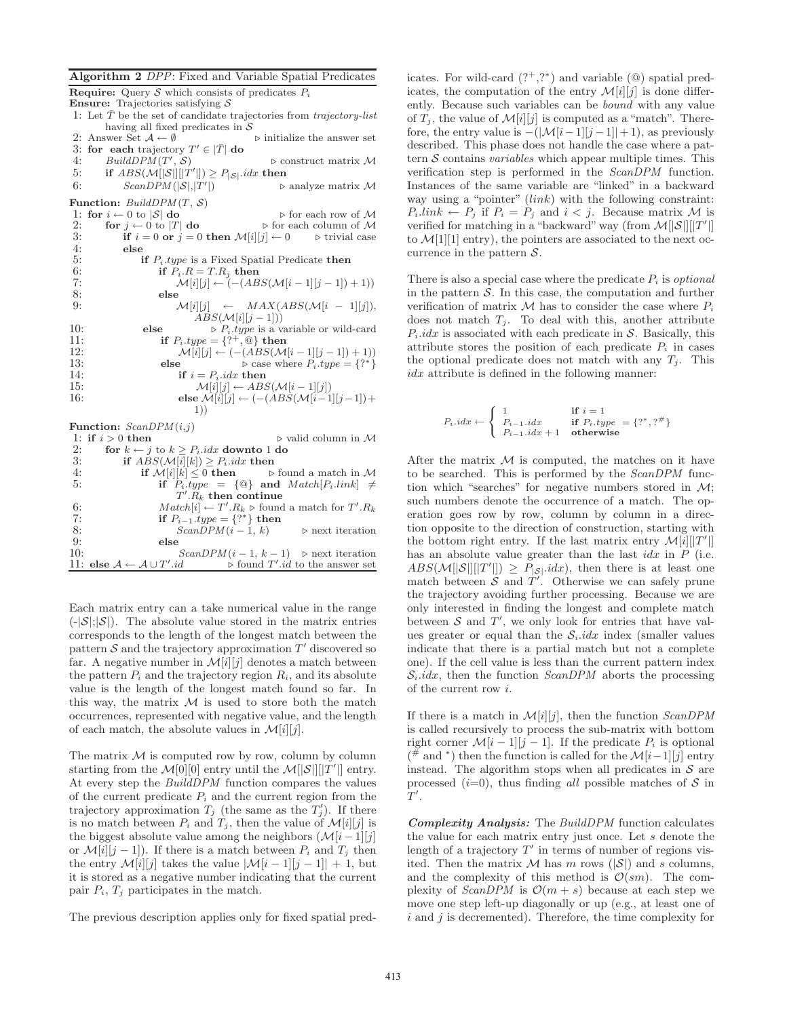Algorithm 2 *DPP*: Fixed and Variable Spatial Predicates **Require:** Query S which consists of predicates  $P_i$ **Ensure:** Trajectories satisfying  $S$ 1: Let  $\overline{T}$  be the set of candidate trajectories from trajectory-list having all fixed predicates in  $S$ 2: Answer Set  $\mathcal{A} \leftarrow \emptyset$   $\triangleright$  initialize the answer set 3: for each trajectory  $T' \in |\bar{T}|$  do  $4:$  BuildDPM(T'  $\triangleright$  construct matrix  $\mathcal M$ 5: if  $ABS(\mathcal{M}||S||[T']]) \geq P_{|\mathcal{S}|}$ .*idx* then 6:  $ScanDPM(|S|, |T)$ |) ⊲ analyze matrix M **Function:** BuildDPM(T,  $S$ ) 1: for  $i \leftarrow 0$  to  $|\mathcal{S}|$  do  $\triangleright$  for each row of M<br>2: for  $j \leftarrow 0$  to  $|T|$  do  $\triangleright$  for each column of M 2: for  $j \leftarrow 0$  to |T| do  $\triangleright$  for each column of M<br>3: if  $i = 0$  or  $j = 0$  then  $\mathcal{M}[i][j] \leftarrow 0$   $\triangleright$  trivial case if  $i = 0$  or  $j = 0$  then  $\mathcal{M}[i][j] \leftarrow 0$  > trivial case 4:  $else$ <br>5:  $else$ 5: if  $P_i.\text{type}$  is a Fixed Spatial Predicate then<br>6: if  $P_i.R = T.R_i$  then 6:<br> **if**  $\overline{P_i} \cdot R = T \cdot R_j$  then<br>  $\mathcal{M}[i][j] \leftarrow (-\langle AB \rangle)$ 7:  $\mathcal{M}[i][j] \leftarrow \left( - (ABS(\mathcal{M}[i-1][j-1]) + 1) \right)$ <br>8: else  $8:$  else  $9:$  $\mathcal{M}[i][j] \leftarrow \quad MAX(ABS(\mathcal{M}[i-1][j]),$  $\widehat{ABS}(\mathcal{M}[i][j-1]))$ 10: else ⊳  $P_i. type$  is a variable or wild-card<br>11: **if**  $P_i. true = \{ ? \}$  then 11: if  $P_i_type = \{?^+, \textcircled{a}\}$  then<br>12:  $\mathcal{M}[i][j] \leftarrow (-\langle ABS(\mathcal{M}$ 12:  $\mathcal{M}[i][j] \leftarrow (-(ABS(\mathcal{M}[i-1][j-1]) + 1))$ <br>13: else  $\triangleright$  case where  $P_1$  tune = {?\*} 13: else  $\rho_i^*$  case where  $P_i^*$ .type = {?\*} 14:<br> **if**  $i = P_i.idx$  then<br>  $M[i][j] \leftarrow ABS$  $\mathcal{M}[i][j] \leftarrow ABS(\mathcal{M}[i-1][j])$ 16: **else**  $\mathcal{M}[i][j] \leftarrow (- (AB\dot{S}(\mathcal{M}[i-1][j-1]) +$ 1)) Function:  $ScanDPM(i,j)$ <br>1: if  $i > 0$  then 1: if  $i > 0$  then  $\rightarrow$  valid column in M<br>2: for  $k \leftarrow i$  to  $k > P_i$  idx downto 1 do 2: for  $k \leftarrow j$  to  $k \ge P_i.idx$  downto 1 do 3: if  $ABS(\mathcal{M}[i][k]) \geq P_i.idx$  then 4: if  $\mathcal{M}[i][k] < 0$  then  $\triangleright$  found a match in M

| - 5: | if $P_i.\mathit{type} = \{\mathbb{Q}\}\$ and $Match[P_i.\mathit{link}] \neq$           |
|------|----------------------------------------------------------------------------------------|
|      | $T'.R_k$ then continue                                                                 |
| 6:   | $Match[i] \leftarrow T'.R_k \triangleright$ found a match for $T'.R_k$                 |
| 7:   | if $P_{i-1}.type = \{?^*\}\$ then                                                      |
| -8:  | $ScanDPM(i-1, k)$<br>$\triangleright$ next iteration                                   |
| 9:   | else                                                                                   |
| 10:  | $ScanDPM(i-1, k-1)$ $\triangleright$ next iteration                                    |
|      | $\triangleright$ found T' id to the answer set<br>11: else $A \leftarrow A \cup T'.id$ |

Each matrix entry can a take numerical value in the range  $(-|\mathcal{S}|,|\mathcal{S}|)$ . The absolute value stored in the matrix entries corresponds to the length of the longest match between the pattern  $S$  and the trajectory approximation  $T'$  discovered so far. A negative number in  $\mathcal{M}[i][j]$  denotes a match between the pattern  $P_i$  and the trajectory region  $R_i$ , and its absolute value is the length of the longest match found so far. In this way, the matrix  $\mathcal M$  is used to store both the match occurrences, represented with negative value, and the length of each match, the absolute values in  $\mathcal{M}[i][j]$ .

The matrix  $M$  is computed row by row, column by column starting from the  $\mathcal{M}[0][0]$  entry until the  $\mathcal{M}[[S]][[T']]$  entry. At every step the *BuildDPM* function compares the values of the current predicate  $P_i$  and the current region from the trajectory approximation  $T_j$  (the same as the  $T'_j$ ). If there is no match between  $P_i$  and  $T_j$ , then the value of  $\mathcal{M}[i][j]$  is the biggest absolute value among the neighbors  $(\mathcal{M}[i-1][j])$ or  $\mathcal{M}[i][j-1]$ . If there is a match between  $P_i$  and  $T_j$  then the entry  $\mathcal{M}[i][j]$  takes the value  $|\mathcal{M}[i-1][j-1]| + 1$ , but it is stored as a negative number indicating that the current pair  $P_i$ ,  $T_j$  participates in the match.

The previous description applies only for fixed spatial pred-

icates. For wild-card  $(?^+, ?^*)$  and variable  $(@)$  spatial predicates, the computation of the entry  $\mathcal{M}[i][j]$  is done differently. Because such variables can be *bound* with any value of  $T_j$ , the value of  $\mathcal{M}[i][j]$  is computed as a "match". Therefore, the entry value is  $-(|\mathcal{M}[i-1][j-1]|+1)$ , as previously described. This phase does not handle the case where a pattern S contains *variables* which appear multiple times. This verification step is performed in the *ScanDPM* function. Instances of the same variable are "linked" in a backward way using a "pointer" (*link*) with the following constraint:  $P_i$ link  $\leftarrow P_j$  if  $P_i = P_j$  and  $i < j$ . Because matrix M is verified for matching in a "backward" way (from  $\mathcal{M}[[S]][[T']]$ to  $\mathcal{M}[1][1]$  entry), the pointers are associated to the next occurrence in the pattern  $S$ .

There is also a special case where the predicate  $P_i$  is *optional* in the pattern  $S$ . In this case, the computation and further verification of matrix  $M$  has to consider the case where  $P_i$ does not match  $T_i$ . To deal with this, another attribute  $P_i$ *idx* is associated with each predicate in S. Basically, this attribute stores the position of each predicate  $P_i$  in cases the optional predicate does not match with any  $T_j$ . This  $idx$  attribute is defined in the following manner:

$$
P_i.idx \leftarrow \left\{ \begin{array}{ll} 1 & \text{if } i = 1 \\ P_{i-1}.idx & \text{if } P_i.type = \{?^*, ?^* \} \\ P_{i-1}.idx + 1 & \text{otherwise} \end{array} \right.
$$

After the matrix  $M$  is computed, the matches on it have to be searched. This is performed by the *ScanDPM* function which "searches" for negative numbers stored in  $\mathcal{M}$ ; such numbers denote the occurrence of a match. The operation goes row by row, column by column in a direction opposite to the direction of construction, starting with the bottom right entry. If the last matrix entry  $\mathcal{M}[i][|T'|]$ has an absolute value greater than the last  $idx$  in  $P$  (i.e.  $ABS(\mathcal{M}[[\mathcal{S}]][[T']])\geq P_{|\mathcal{S}|}.idx),$  then there is at least one match between  $S$  and  $T'$ . Otherwise we can safely prune the trajectory avoiding further processing. Because we are only interested in finding the longest and complete match between  $S$  and  $T'$ , we only look for entries that have values greater or equal than the  $S_i.idx$  index (smaller values indicate that there is a partial match but not a complete one). If the cell value is less than the current pattern index  $S_i.idx$ , then the function  $ScanDPM$  aborts the processing of the current row i.

If there is a match in  $\mathcal{M}[i][j]$ , then the function *ScanDPM* is called recursively to process the sub-matrix with bottom right corner  $\mathcal{M}[i-1][j-1]$ . If the predicate  $P_i$  is optional (<sup>#</sup> and \*) then the function is called for the  $\mathcal{M}[i-1][j]$  entry instead. The algorithm stops when all predicates in  $S$  are processed  $(i=0)$ , thus finding *all* possible matches of S in  $T'.$ 

Complexity Analysis: The *BuildDPM* function calculates the value for each matrix entry just once. Let s denote the length of a trajectory  $T'$  in terms of number of regions visited. Then the matrix  $M$  has m rows ( $|S|$ ) and s columns, and the complexity of this method is  $\mathcal{O}(sm)$ . The complexity of  $ScanDPM$  is  $\mathcal{O}(m + s)$  because at each step we move one step left-up diagonally or up (e.g., at least one of  $i$  and  $j$  is decremented). Therefore, the time complexity for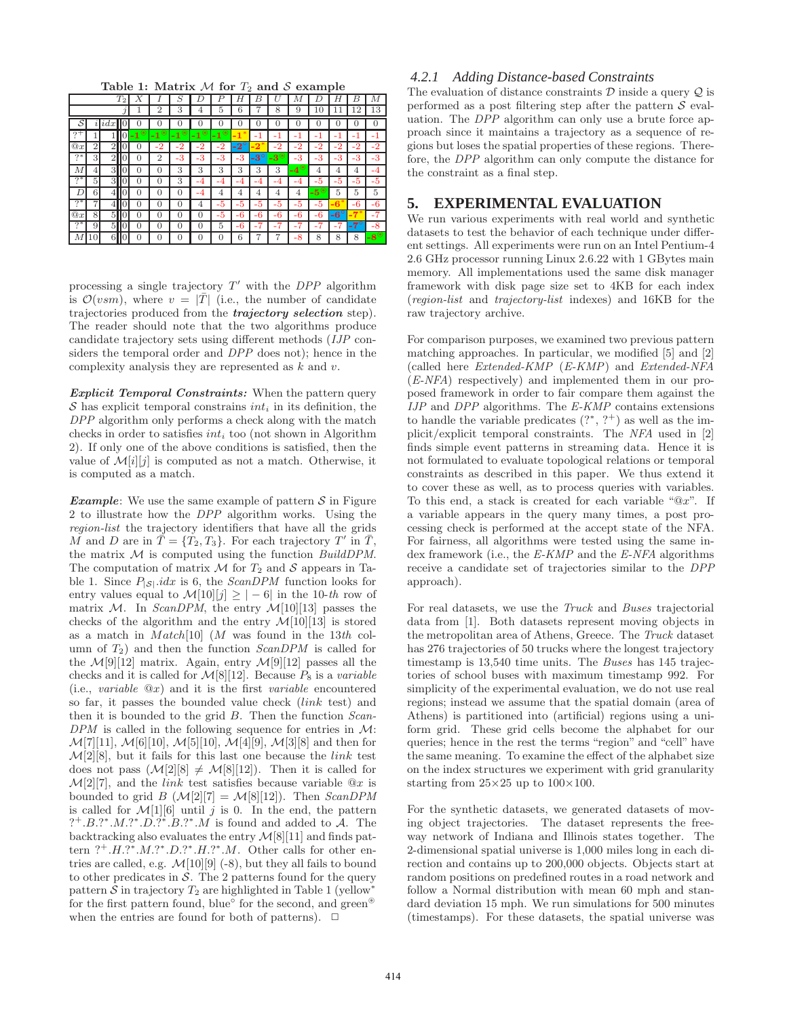Table 1: Matrix  $M$  for  $T_2$  and  $S$  example

|         |                |                | $T_{2}$        |           |                        | S                          |             |             | Η                              | В                       |                                         | М                                             |                              | Η          | В          | М                 |
|---------|----------------|----------------|----------------|-----------|------------------------|----------------------------|-------------|-------------|--------------------------------|-------------------------|-----------------------------------------|-----------------------------------------------|------------------------------|------------|------------|-------------------|
|         |                |                | Ĵ              |           | $\overline{2}$         | 3                          | 4           | 5           | 6                              |                         | 8                                       | 9                                             | 10                           |            | 12         | 13                |
| S       | $\imath$       | idx            |                | O         | O                      | $\overline{0}$             | 0           | O           | 0                              | O                       | O                                       | O                                             | $\cup$                       | 0          | 0          | $\theta$          |
| ゥー      |                |                | $\overline{0}$ | ⊛<br>$-1$ | $^{\circledR}$<br>$-1$ | $\cdot1^\circledast$<br>۰. | -1 $^\circ$ | -1 $^\circ$ | $\cdot1^*$                     | $-1$                    | -1                                      | - 1                                           | - 1                          | 1          | -1         | -1                |
| @x      | $\overline{2}$ | $\overline{2}$ | 0              | 0         | -2                     | -2                         | $-2$        | $-2$        | $\mathbin{{\text{--}}2}^\circ$ | $\overline{\mathbf{2}}$ | $-2$                                    | -2                                            | -2                           | $-2$       | $-2$       | $-2$              |
| $? *$   | 3              | $\overline{2}$ | 0              | $\theta$  | $\overline{2}$         | -3                         | -3          | $-3$        | -3                             | $-3^\circ$              | $-3$ <sup><sup><sup>3</sup></sup></sup> | $-3$                                          | -3                           | -3         | $-3$       | $-3$              |
| М       | 4              | 3Н             | $\overline{0}$ | 0         | 0                      | 3                          | 3           | 3           | 3                              | 3                       | 3                                       | $-4$ <sup><sup><math>\circ</math></sup></sup> | $\overline{4}$               | 4          | 4          | -4                |
| $?^*$   | 5              | ЗI             | $\overline{0}$ | 0         | 0                      | 3                          | -4          | -4          | -4                             | -4                      | -4                                      | -4                                            | -5                           | -5         | -5         | $-5$              |
| D       | 6              |                | 0              | $\Omega$  | $\Omega$               | $\overline{0}$             | -4          | 4           | 4                              | 4                       | 4                                       | 4                                             | $-5$ <sup><sup>®</sup></sup> | 5          | 5          | 5                 |
| $?^*$   |                | 4II            | 0              | 0         | 0                      | $\overline{0}$             | 4           | $-5$        | $-5$                           | $-5$                    | $-5$                                    | $-5$                                          | -5                           | $-6$       | $-6$       | -6                |
| @x      | 8              | 51             | 0              | 0         | 0                      | $\overline{0}$             | 0           | $-5$        | -6                             | -6                      | -6                                      | -6                                            | -6                           | $-6^\circ$ | 71         | -7                |
| $?^{*}$ | 9              | 51             | $\overline{0}$ | 0         | 0                      | $\overline{0}$             | $\Omega$    | 5           | $-6$                           | -7                      | -7                                      | $-7$                                          | $-7$                         | $-7$       | $-7^\circ$ | $-8$              |
| М       | 10             | 61             | 0              | 0         | $\Omega$               | 0                          | U           | 0           | 6                              |                         |                                         | -8                                            | 8                            | 8          | 8          | $-8$ <sup>®</sup> |

processing a single trajectory T ′ with the *DPP* algorithm is  $\mathcal{O}(vsm)$ , where  $v = |\bar{T}|$  (i.e., the number of candidate trajectories produced from the *trajectory selection* step). The reader should note that the two algorithms produce candidate trajectory sets using different methods (*IJP* considers the temporal order and *DPP* does not); hence in the complexity analysis they are represented as  $k$  and  $v$ .

**Explicit Temporal Constraints:** When the pattern query  $\mathcal S$  has explicit temporal constrains *int<sub>i</sub>* in its definition, the *DPP* algorithm only performs a check along with the match checks in order to satisfies  $int_i$  too (not shown in Algorithm 2). If only one of the above conditions is satisfied, then the value of  $\mathcal{M}[i][j]$  is computed as not a match. Otherwise, it is computed as a match.

**Example:** We use the same example of pattern  $S$  in Figure 2 to illustrate how the *DPP* algorithm works. Using the *region-list* the trajectory identifiers that have all the grids M and D are in  $\tilde{\overline{T}} = {\overline{T_2, T_3}}$ . For each trajectory T' in  $\overline{T}$ , the matrix M is computed using the function *BuildDPM*. The computation of matrix  $M$  for  $T_2$  and  $S$  appears in Table 1. Since  $P_{|\mathcal{S}|}$ *idx* is 6, the *ScanDPM* function looks for entry values equal to  $\mathcal{M}[10][j] \geq |-6|$  in the 10-*th* row of matrix  $M$ . In *ScanDPM*, the entry  $M[10][13]$  passes the checks of the algorithm and the entry  $\mathcal{M}[10][13]$  is stored as a match in Match[10] (M was found in the 13*th* column of T2) and then the function *ScanDPM* is called for the  $\mathcal{M}[9][12]$  matrix. Again, entry  $\mathcal{M}[9][12]$  passes all the checks and it is called for  $\mathcal{M}[8][12]$ . Because  $P_8$  is a *variable* (i.e., *variable* @x) and it is the first *variable* encountered so far, it passes the bounded value check (link test) and then it is bounded to the grid B. Then the function *Scan-DPM* is called in the following sequence for entries in M:  $\mathcal{M}[7][11], \mathcal{M}[6][10], \mathcal{M}[5][10], \mathcal{M}[4][9], \mathcal{M}[3][8]$  and then for  $\mathcal{M}[2][8]$ , but it fails for this last one because the *link* test does not pass  $(M[2][8] \neq M[8][12])$ . Then it is called for  $\mathcal{M}[2][7]$ , and the *link* test satisfies because variable  $@x$  is bounded to grid  $B \left( \mathcal{M}[2][7] \right) = \mathcal{M}[8][12]$ . Then *ScanDPM* is called for  $\mathcal{M}[1][6]$  until j is 0. In the end, the pattern  $?^+ . B.^* . M.^* . D.^* . B.^* . M$  is found and added to  $A$ . The backtracking also evaluates the entry  $\mathcal{M}[8][11]$  and finds pattern  $?^+ . H.^* . M.^* . D.^* . H.^* . M.$  Other calls for other entries are called, e.g.  $\mathcal{M}[10][9]$  (-8), but they all fails to bound to other predicates in  $S$ . The 2 patterns found for the query pattern  $S$  in trajectory  $T_2$  are highlighted in Table 1 (yellow<sup>\*</sup> for the first pattern found, blue $\degree$  for the second, and green<sup>®</sup> when the entries are found for both of patterns).  $\Box$ 

#### *4.2.1 Adding Distance-based Constraints*

The evaluation of distance constraints  $\mathcal D$  inside a query  $\mathcal Q$  is performed as a post filtering step after the pattern  $S$  evaluation. The *DPP* algorithm can only use a brute force approach since it maintains a trajectory as a sequence of regions but loses the spatial properties of these regions. Therefore, the *DPP* algorithm can only compute the distance for the constraint as a final step.

## **5. EXPERIMENTAL EVALUATION**

We run various experiments with real world and synthetic datasets to test the behavior of each technique under different settings. All experiments were run on an Intel Pentium-4 2.6 GHz processor running Linux 2.6.22 with 1 GBytes main memory. All implementations used the same disk manager framework with disk page size set to 4KB for each index (*region-list* and *trajectory-list* indexes) and 16KB for the raw trajectory archive.

For comparison purposes, we examined two previous pattern matching approaches. In particular, we modified [5] and [2] (called here *Extended-KMP* (*E-KMP*) and *Extended-NFA* (*E-NFA*) respectively) and implemented them in our proposed framework in order to fair compare them against the *IJP* and *DPP* algorithms. The *E-KMP* contains extensions to handle the variable predicates  $(?\degree, ?^+)$  as well as the implicit/explicit temporal constraints. The *NFA* used in [2] finds simple event patterns in streaming data. Hence it is not formulated to evaluate topological relations or temporal constraints as described in this paper. We thus extend it to cover these as well, as to process queries with variables. To this end, a stack is created for each variable " $@x$ ". If a variable appears in the query many times, a post processing check is performed at the accept state of the NFA. For fairness, all algorithms were tested using the same index framework (i.e., the *E-KMP* and the *E-NFA* algorithms receive a candidate set of trajectories similar to the *DPP* approach).

For real datasets, we use the *Truck* and *Buses* trajectorial data from [1]. Both datasets represent moving objects in the metropolitan area of Athens, Greece. The *Truck* dataset has 276 trajectories of 50 trucks where the longest trajectory timestamp is 13,540 time units. The *Buses* has 145 trajectories of school buses with maximum timestamp 992. For simplicity of the experimental evaluation, we do not use real regions; instead we assume that the spatial domain (area of Athens) is partitioned into (artificial) regions using a uniform grid. These grid cells become the alphabet for our queries; hence in the rest the terms "region" and "cell" have the same meaning. To examine the effect of the alphabet size on the index structures we experiment with grid granularity starting from  $25 \times 25$  up to  $100 \times 100$ .

For the synthetic datasets, we generated datasets of moving object trajectories. The dataset represents the freeway network of Indiana and Illinois states together. The 2-dimensional spatial universe is 1,000 miles long in each direction and contains up to 200,000 objects. Objects start at random positions on predefined routes in a road network and follow a Normal distribution with mean 60 mph and standard deviation 15 mph. We run simulations for 500 minutes (timestamps). For these datasets, the spatial universe was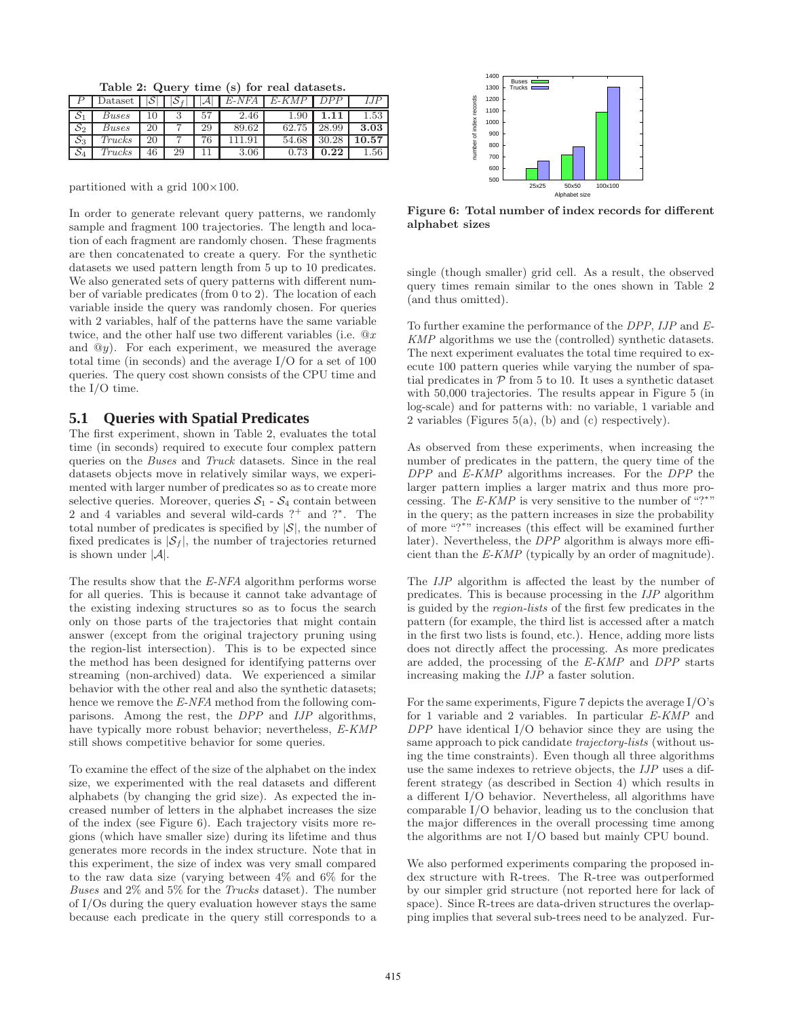Table 2: Query time (s) for real datasets.

| Dataset      |    | $\circ$ | I.AI | E-NFA | $E$ -KMP |       | $\cdot$ IP |
|--------------|----|---------|------|-------|----------|-------|------------|
| $\it{Buses}$ |    |         | 57   | 2.46  | 1.90     |       | 1.53       |
| $\it{Buses}$ | 20 |         | 29   | 89.62 | 62.75    | 28.99 | 3.03       |
| Trucks       | 20 |         |      | 11.91 | 54.68    | 30.28 | 10.57      |
| Trucks       | 46 | 29      |      | 3.06  | 0.73     | 0.22  | $1.56\,$   |

partitioned with a grid  $100\times100$ .

In order to generate relevant query patterns, we randomly sample and fragment 100 trajectories. The length and location of each fragment are randomly chosen. These fragments are then concatenated to create a query. For the synthetic datasets we used pattern length from 5 up to 10 predicates. We also generated sets of query patterns with different number of variable predicates (from 0 to 2). The location of each variable inside the query was randomly chosen. For queries with 2 variables, half of the patterns have the same variable twice, and the other half use two different variables (i.e.  $@x$ and  $\mathcal{Q}_y$ . For each experiment, we measured the average total time (in seconds) and the average I/O for a set of 100 queries. The query cost shown consists of the CPU time and the I/O time.

#### **5.1 Queries with Spatial Predicates**

The first experiment, shown in Table 2, evaluates the total time (in seconds) required to execute four complex pattern queries on the *Buses* and *Truck* datasets. Since in the real datasets objects move in relatively similar ways, we experimented with larger number of predicates so as to create more selective queries. Moreover, queries  $S_1$  -  $S_4$  contain between 2 and 4 variables and several wild-cards ?<sup>+</sup> and ?<sup>\*</sup>. The total number of predicates is specified by  $|\mathcal{S}|,$  the number of fixed predicates is  $|\mathcal{S}_f|$ , the number of trajectories returned is shown under  $|\mathcal{A}|$ .

The results show that the *E-NFA* algorithm performs worse for all queries. This is because it cannot take advantage of the existing indexing structures so as to focus the search only on those parts of the trajectories that might contain answer (except from the original trajectory pruning using the region-list intersection). This is to be expected since the method has been designed for identifying patterns over streaming (non-archived) data. We experienced a similar behavior with the other real and also the synthetic datasets; hence we remove the *E-NFA* method from the following comparisons. Among the rest, the *DPP* and *IJP* algorithms, have typically more robust behavior; nevertheless, *E-KMP* still shows competitive behavior for some queries.

To examine the effect of the size of the alphabet on the index size, we experimented with the real datasets and different alphabets (by changing the grid size). As expected the increased number of letters in the alphabet increases the size of the index (see Figure 6). Each trajectory visits more regions (which have smaller size) during its lifetime and thus generates more records in the index structure. Note that in this experiment, the size of index was very small compared to the raw data size (varying between 4% and 6% for the *Buses* and 2% and 5% for the *Trucks* dataset). The number of I/Os during the query evaluation however stays the same because each predicate in the query still corresponds to a



Figure 6: Total number of index records for different alphabet sizes

single (though smaller) grid cell. As a result, the observed query times remain similar to the ones shown in Table 2 (and thus omitted).

To further examine the performance of the *DPP*, *IJP* and *E-KMP* algorithms we use the (controlled) synthetic datasets. The next experiment evaluates the total time required to execute 100 pattern queries while varying the number of spatial predicates in  $P$  from 5 to 10. It uses a synthetic dataset with 50,000 trajectories. The results appear in Figure 5 (in log-scale) and for patterns with: no variable, 1 variable and 2 variables (Figures 5(a), (b) and (c) respectively).

As observed from these experiments, when increasing the number of predicates in the pattern, the query time of the *DPP* and *E-KMP* algorithms increases. For the *DPP* the larger pattern implies a larger matrix and thus more processing. The *E-KMP* is very sensitive to the number of "?\*" in the query; as the pattern increases in size the probability of more "?<sup>∗</sup> " increases (this effect will be examined further later). Nevertheless, the *DPP* algorithm is always more efficient than the *E-KMP* (typically by an order of magnitude).

The *IJP* algorithm is affected the least by the number of predicates. This is because processing in the *IJP* algorithm is guided by the *region-lists* of the first few predicates in the pattern (for example, the third list is accessed after a match in the first two lists is found, etc.). Hence, adding more lists does not directly affect the processing. As more predicates are added, the processing of the *E-KMP* and *DPP* starts increasing making the *IJP* a faster solution.

For the same experiments, Figure 7 depicts the average I/O's for 1 variable and 2 variables. In particular *E-KMP* and *DPP* have identical I/O behavior since they are using the same approach to pick candidate *trajectory-lists* (without using the time constraints). Even though all three algorithms use the same indexes to retrieve objects, the *IJP* uses a different strategy (as described in Section 4) which results in a different I/O behavior. Nevertheless, all algorithms have comparable I/O behavior, leading us to the conclusion that the major differences in the overall processing time among the algorithms are not I/O based but mainly CPU bound.

We also performed experiments comparing the proposed index structure with R-trees. The R-tree was outperformed by our simpler grid structure (not reported here for lack of space). Since R-trees are data-driven structures the overlapping implies that several sub-trees need to be analyzed. Fur-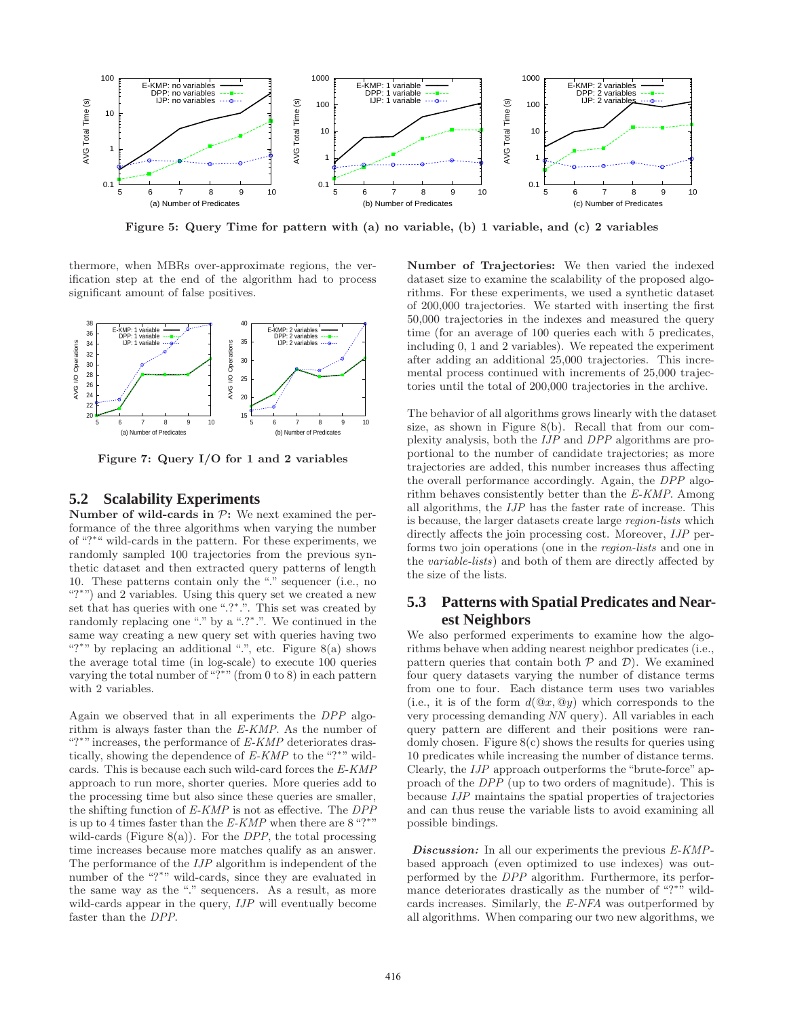

Figure 5: Query Time for pattern with (a) no variable, (b) 1 variable, and (c) 2 variables

thermore, when MBRs over-approximate regions, the verification step at the end of the algorithm had to process significant amount of false positives.



Figure 7: Query I/O for 1 and 2 variables

## **5.2 Scalability Experiments**

Number of wild-cards in  $P$ : We next examined the performance of the three algorithms when varying the number of "?<sup>∗</sup> " wild-cards in the pattern. For these experiments, we randomly sampled 100 trajectories from the previous synthetic dataset and then extracted query patterns of length 10. These patterns contain only the "." sequencer (i.e., no "?<sup>∗</sup> ") and 2 variables. Using this query set we created a new set that has queries with one ".?\*.". This set was created by randomly replacing one "." by a ".?\*.". We continued in the same way creating a new query set with queries having two "?\*" by replacing an additional ".", etc. Figure 8(a) shows the average total time (in log-scale) to execute 100 queries varying the total number of "?<sup>∗</sup> " (from 0 to 8) in each pattern with 2 variables.

Again we observed that in all experiments the *DPP* algorithm is always faster than the *E-KMP*. As the number of "?<sup>\*</sup>" increases, the performance of *E-KMP* deteriorates drastically, showing the dependence of *E-KMP* to the "?\*" wildcards. This is because each such wild-card forces the *E-KMP* approach to run more, shorter queries. More queries add to the processing time but also since these queries are smaller, the shifting function of *E-KMP* is not as effective. The *DPP* is up to 4 times faster than the  $E-KMP$  when there are 8 "?\*" wild-cards (Figure 8(a)). For the *DPP*, the total processing time increases because more matches qualify as an answer. The performance of the *IJP* algorithm is independent of the number of the "?\*" wild-cards, since they are evaluated in the same way as the "." sequencers. As a result, as more wild-cards appear in the query, *IJP* will eventually become faster than the *DPP*.

Number of Trajectories: We then varied the indexed dataset size to examine the scalability of the proposed algorithms. For these experiments, we used a synthetic dataset of 200,000 trajectories. We started with inserting the first 50,000 trajectories in the indexes and measured the query time (for an average of 100 queries each with 5 predicates, including 0, 1 and 2 variables). We repeated the experiment after adding an additional 25,000 trajectories. This incremental process continued with increments of 25,000 trajectories until the total of 200,000 trajectories in the archive.

The behavior of all algorithms grows linearly with the dataset size, as shown in Figure 8(b). Recall that from our complexity analysis, both the *IJP* and *DPP* algorithms are proportional to the number of candidate trajectories; as more trajectories are added, this number increases thus affecting the overall performance accordingly. Again, the *DPP* algorithm behaves consistently better than the *E-KMP*. Among all algorithms, the *IJP* has the faster rate of increase. This is because, the larger datasets create large *region-lists* which directly affects the join processing cost. Moreover, *IJP* performs two join operations (one in the *region-lists* and one in the *variable-lists*) and both of them are directly affected by the size of the lists.

# **5.3 Patterns with Spatial Predicates and Nearest Neighbors**

We also performed experiments to examine how the algorithms behave when adding nearest neighbor predicates (i.e., pattern queries that contain both  $P$  and  $D$ ). We examined four query datasets varying the number of distance terms from one to four. Each distance term uses two variables (i.e., it is of the form  $d(\mathbb{Q}x, \mathbb{Q}y)$  which corresponds to the very processing demanding *NN* query). All variables in each query pattern are different and their positions were randomly chosen. Figure  $8(c)$  shows the results for queries using 10 predicates while increasing the number of distance terms. Clearly, the *IJP* approach outperforms the "brute-force" approach of the *DPP* (up to two orders of magnitude). This is because *IJP* maintains the spatial properties of trajectories and can thus reuse the variable lists to avoid examining all possible bindings.

Discussion: In all our experiments the previous *E-KMP*based approach (even optimized to use indexes) was outperformed by the *DPP* algorithm. Furthermore, its performance deteriorates drastically as the number of "?<sup>\*</sup>" wildcards increases. Similarly, the *E-NFA* was outperformed by all algorithms. When comparing our two new algorithms, we